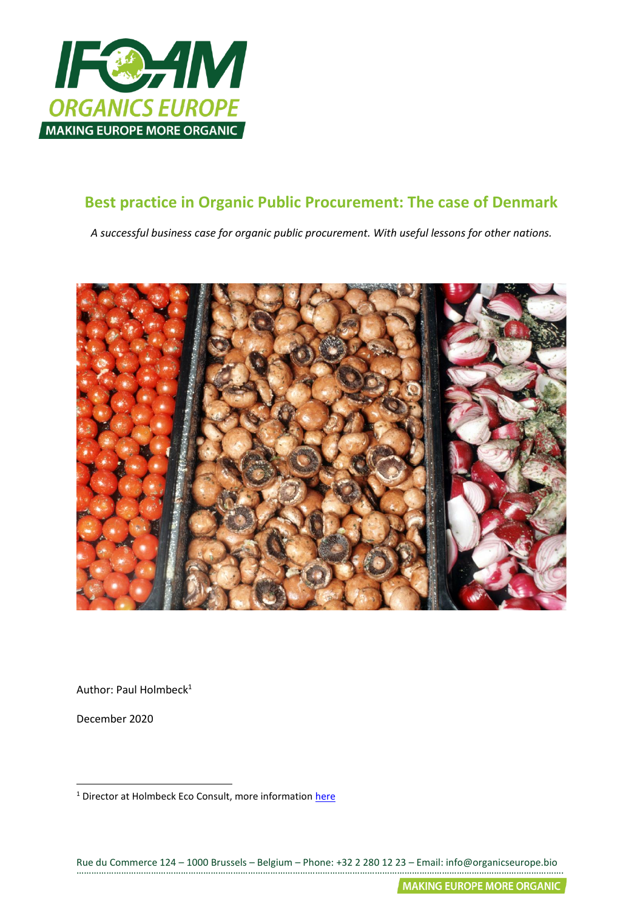

# **Best practice in Organic Public Procurement: The case of Denmark**

*A successful business case for organic public procurement. With useful lessons for other nations.*



Author: Paul Holmbeck<sup>1</sup>

December 2020

<sup>&</sup>lt;sup>1</sup> Director at Holmbeck Eco Consult, more information [here](http://www.paulholmbeck.com/)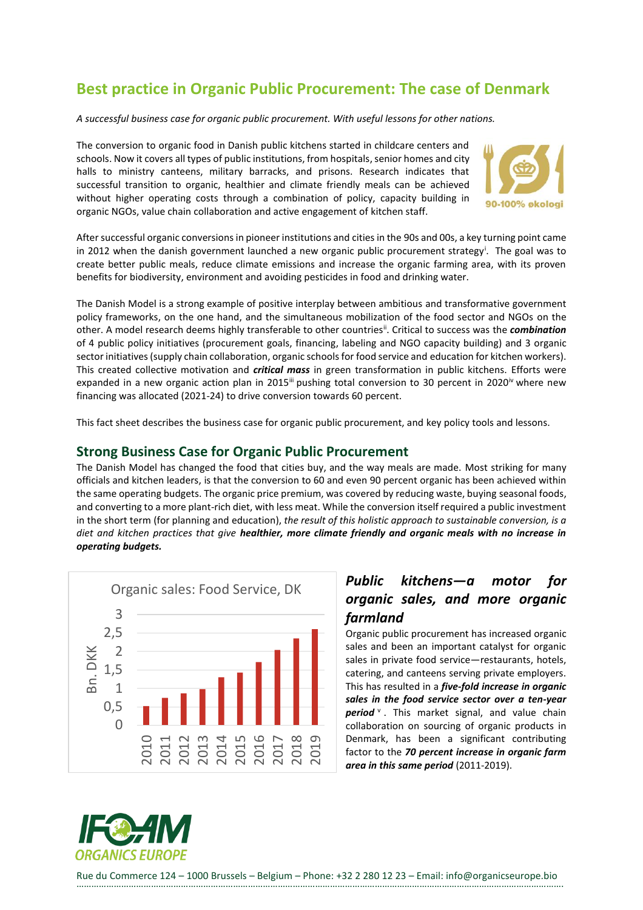# **Best practice in Organic Public Procurement: The case of Denmark**

*A successful business case for organic public procurement. With useful lessons for other nations.*

The conversion to organic food in Danish public kitchens started in childcare centers and schools. Now it covers all types of public institutions, from hospitals, senior homes and city halls to ministry canteens, military barracks, and prisons. Research indicates that successful transition to organic, healthier and climate friendly meals can be achieved without higher operating costs through a combination of policy, capacity building in organic NGOs, value chain collaboration and active engagement of kitchen staff.



After successful organic conversions in pioneer institutions and cities in the 90s and 00s, a key turning point came in 2012 when the danish government launched a new organic public procurement strategy<sup>i</sup>. The goal was to create better public meals, reduce climate emissions and increase the organic farming area, with its proven benefits for biodiversity, environment and avoiding pesticides in food and drinking water.

The Danish Model is a strong example of positive interplay between ambitious and transformative government policy frameworks, on the one hand, and the simultaneous mobilization of the food sector and NGOs on the other. A model research deems highly transferable to other countriesii . Critical to success was the *combination* of 4 public policy initiatives (procurement goals, financing, labeling and NGO capacity building) and 3 organic sector initiatives (supply chain collaboration, organic schools for food service and education for kitchen workers). This created collective motivation and *critical mass* in green transformation in public kitchens. Efforts were expanded in a new organic action plan in 2015<sup>iii</sup> pushing total conversion to 30 percent in 2020<sup>iv</sup> where new financing was allocated (2021-24) to drive conversion towards 60 percent.

This fact sheet describes the business case for organic public procurement, and key policy tools and lessons.

#### **Strong Business Case for Organic Public Procurement**

The Danish Model has changed the food that cities buy, and the way meals are made. Most striking for many officials and kitchen leaders, is that the conversion to 60 and even 90 percent organic has been achieved within the same operating budgets. The organic price premium, was covered by reducing waste, buying seasonal foods, and converting to a more plant-rich diet, with less meat. While the conversion itself required a public investment in the short term (for planning and education), *the result of this holistic approach to sustainable conversion, is a diet and kitchen practices that give healthier, more climate friendly and organic meals with no increase in operating budgets.*



## *Public kitchens—a motor for organic sales, and more organic farmland*

Organic public procurement has increased organic sales and been an important catalyst for organic sales in private food service—restaurants, hotels, catering, and canteens serving private employers. This has resulted in a *five-fold increase in organic sales in the food service sector over a ten-year*  period<sup>v</sup>. This market signal, and value chain collaboration on sourcing of organic products in Denmark, has been a significant contributing factor to the *70 percent increase in organic farm area in this same period* (2011-2019).

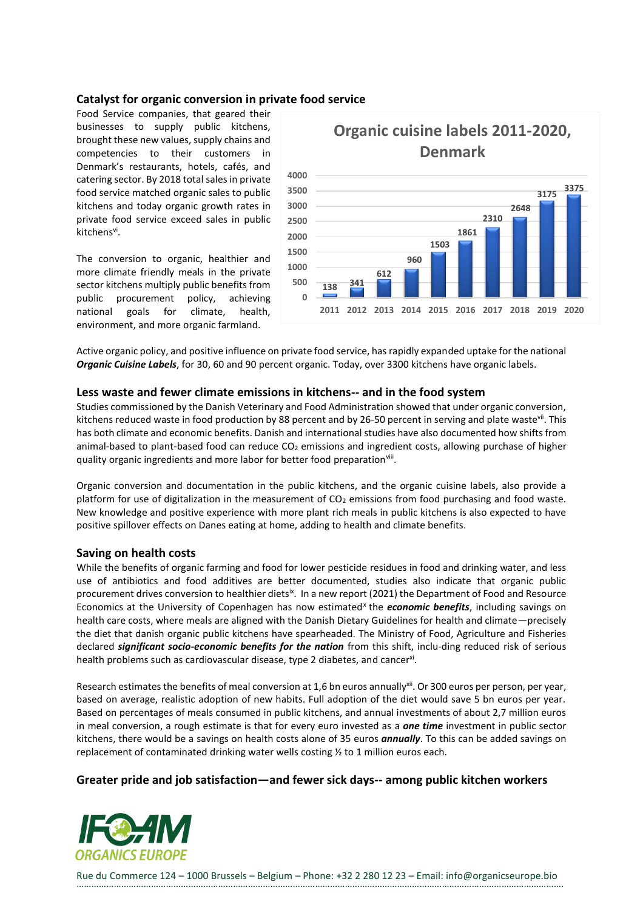#### **Catalyst for organic conversion in private food service**

Food Service companies, that geared their businesses to supply public kitchens, brought these new values, supply chains and competencies to their customers in Denmark's restaurants, hotels, cafés, and catering sector. By 2018 total sales in private food service matched organic sales to public kitchens and today organic growth rates in private food service exceed sales in public kitchens<sup>vi</sup>.

The conversion to organic, healthier and more climate friendly meals in the private sector kitchens multiply public benefits from public procurement policy, achieving national goals for climate, health, environment, and more organic farmland.



Active organic policy, and positive influence on private food service, has rapidly expanded uptake for the national *Organic Cuisine Labels*, for 30, 60 and 90 percent organic. Today, over 3300 kitchens have organic labels.

#### **Less waste and fewer climate emissions in kitchens-- and in the food system**

Studies commissioned by the Danish Veterinary and Food Administration showed that under organic conversion, kitchens reduced waste in food production by 88 percent and by 26-50 percent in serving and plate wastevii. This has both climate and economic benefits. Danish and international studies have also documented how shifts from animal-based to plant-based food can reduce  $CO<sub>2</sub>$  emissions and ingredient costs, allowing purchase of higher quality organic ingredients and more labor for better food preparation<sup>viii</sup>.

Organic conversion and documentation in the public kitchens, and the organic cuisine labels, also provide a platform for use of digitalization in the measurement of  $CO<sub>2</sub>$  emissions from food purchasing and food waste. New knowledge and positive experience with more plant rich meals in public kitchens is also expected to have positive spillover effects on Danes eating at home, adding to health and climate benefits.

#### **Saving on health costs**

While the benefits of organic farming and food for lower pesticide residues in food and drinking water, and less use of antibiotics and food additives are better documented, studies also indicate that organic public procurement drives conversion to healthier diets<sup>ix</sup>. In a new report (2021) the Department of Food and Resource Economics at the University of Copenhagen has now estimated<sup>x</sup> the *economic benefits*, including savings on health care costs, where meals are aligned with the Danish Dietary Guidelines for health and climate—precisely the diet that danish organic public kitchens have spearheaded. The Ministry of Food, Agriculture and Fisheries declared *significant socio-economic benefits for the nation* from this shift, inclu-ding reduced risk of serious health problems such as cardiovascular disease, type 2 diabetes, and cancer<sup>xi</sup>.

Research estimates the benefits of meal conversion at 1,6 bn euros annually<sup>xii</sup>. Or 300 euros per person, per year, based on average, realistic adoption of new habits. Full adoption of the diet would save 5 bn euros per year. Based on percentages of meals consumed in public kitchens, and annual investments of about 2,7 million euros in meal conversion, a rough estimate is that for every euro invested as a *one time* investment in public sector kitchens, there would be a savings on health costs alone of 35 euros *annually*. To this can be added savings on replacement of contaminated drinking water wells costing ½ to 1 million euros each.

#### **Greater pride and job satisfaction—and fewer sick days-- among public kitchen workers**

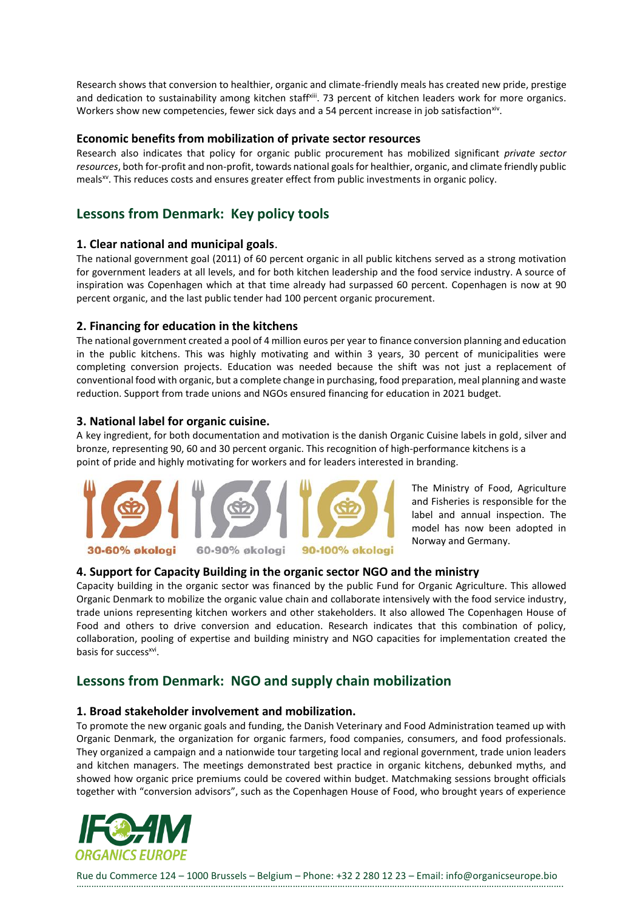Research shows that conversion to healthier, organic and climate-friendly meals has created new pride, prestige and dedication to sustainability among kitchen staff<sup>xiii</sup>. 73 percent of kitchen leaders work for more organics. Workers show new competencies, fewer sick days and a 54 percent increase in job satisfaction ${}^{\text{xiv}}$ .

#### **Economic benefits from mobilization of private sector resources**

Research also indicates that policy for organic public procurement has mobilized significant *private sector resources*, both for-profit and non-profit, towards national goals for healthier, organic, and climate friendly public meals<sup>xv</sup>. This reduces costs and ensures greater effect from public investments in organic policy.

## **Lessons from Denmark: Key policy tools**

#### **1. Clear national and municipal goals**.

The national government goal (2011) of 60 percent organic in all public kitchens served as a strong motivation for government leaders at all levels, and for both kitchen leadership and the food service industry. A source of inspiration was Copenhagen which at that time already had surpassed 60 percent. Copenhagen is now at 90 percent organic, and the last public tender had 100 percent organic procurement.

#### **2. Financing for education in the kitchens**

The national government created a pool of 4 million euros per year to finance conversion planning and education in the public kitchens. This was highly motivating and within 3 years, 30 percent of municipalities were completing conversion projects. Education was needed because the shift was not just a replacement of conventional food with organic, but a complete change in purchasing, food preparation, meal planning and waste reduction. Support from trade unions and NGOs ensured financing for education in 2021 budget.

#### **3. National label for organic cuisine.**

A key ingredient, for both documentation and motivation is the danish Organic Cuisine labels in gold, silver and bronze, representing 90, 60 and 30 percent organic. This recognition of high-performance kitchens is a point of pride and highly motivating for workers and for leaders interested in branding.



The Ministry of Food, Agriculture and Fisheries is responsible for the label and annual inspection. The model has now been adopted in Norway and Germany.

30-60% økologi



#### **4. Support for Capacity Building in the organic sector NGO and the ministry**

Capacity building in the organic sector was financed by the public Fund for Organic Agriculture. This allowed Organic Denmark to mobilize the organic value chain and collaborate intensively with the food service industry, trade unions representing kitchen workers and other stakeholders. It also allowed The Copenhagen House of Food and others to drive conversion and education. Research indicates that this combination of policy, collaboration, pooling of expertise and building ministry and NGO capacities for implementation created the basis for success<sup>xvi</sup>.

## **Lessons from Denmark: NGO and supply chain mobilization**

#### **1. Broad stakeholder involvement and mobilization.**

To promote the new organic goals and funding, the Danish Veterinary and Food Administration teamed up with Organic Denmark, the organization for organic farmers, food companies, consumers, and food professionals. They organized a campaign and a nationwide tour targeting local and regional government, trade union leaders and kitchen managers. The meetings demonstrated best practice in organic kitchens, debunked myths, and showed how organic price premiums could be covered within budget. Matchmaking sessions brought officials together with "conversion advisors", such as the Copenhagen House of Food, who brought years of experience

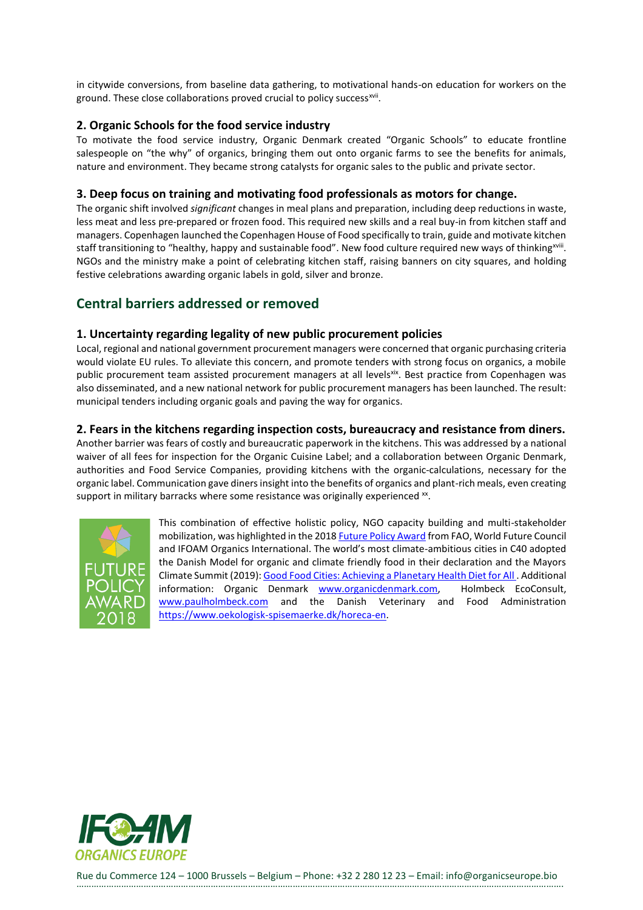in citywide conversions, from baseline data gathering, to motivational hands-on education for workers on the ground. These close collaborations proved crucial to policy success<sup>xvii</sup>.

#### **2. Organic Schools for the food service industry**

To motivate the food service industry, Organic Denmark created "Organic Schools" to educate frontline salespeople on "the why" of organics, bringing them out onto organic farms to see the benefits for animals, nature and environment. They became strong catalysts for organic sales to the public and private sector.

#### **3. Deep focus on training and motivating food professionals as motors for change.**

The organic shift involved *significant* changes in meal plans and preparation, including deep reductions in waste, less meat and less pre-prepared or frozen food. This required new skills and a real buy-in from kitchen staff and managers. Copenhagen launched the Copenhagen House of Food specifically to train, guide and motivate kitchen staff transitioning to "healthy, happy and sustainable food". New food culture required new ways of thinking<sup>xviii</sup>. NGOs and the ministry make a point of celebrating kitchen staff, raising banners on city squares, and holding festive celebrations awarding organic labels in gold, silver and bronze.

## **Central barriers addressed or removed**

#### **1. Uncertainty regarding legality of new public procurement policies**

Local, regional and national government procurement managers were concerned that organic purchasing criteria would violate EU rules. To alleviate this concern, and promote tenders with strong focus on organics, a mobile public procurement team assisted procurement managers at all levelsxix. Best practice from Copenhagen was also disseminated, and a new national network for public procurement managers has been launched. The result: municipal tenders including organic goals and paving the way for organics.

#### **2. Fears in the kitchens regarding inspection costs, bureaucracy and resistance from diners.**

Another barrier was fears of costly and bureaucratic paperwork in the kitchens. This was addressed by a national waiver of all fees for inspection for the Organic Cuisine Label; and a collaboration between Organic Denmark, authorities and Food Service Companies, providing kitchens with the organic-calculations, necessary for the organic label. Communication gave diners insight into the benefits of organics and plant-rich meals, even creating support in military barracks where some resistance was originally experienced  $^{xx}$ .



This combination of effective holistic policy, NGO capacity building and multi-stakeholder mobilization, was highlighted in the 201[8 Future Policy Award](https://www.worldfuturecouncil.org/p/agroecology/) from FAO, World Future Council and IFOAM Organics International. The world's most climate-ambitious cities in C40 adopted the Danish Model for organic and climate friendly food in their declaration and the Mayors Climate Summit (2019)[: Good Food Cities: Achieving a Planetary Health Diet for All .](https://www.c40.org/press_releases/good-food-cities#:~:text=They) Additional information: Organic Denmark [www.organicdenmark.com,](http://www.organicdenmark.com/) Holmbeck EcoConsult, [www.paulholmbeck.com](http://www.paulholmbeck.com/) and the Danish Veterinary and Food Administration [https://www.oekologisk-spisemaerke.dk/horeca-en.](https://www.oekologisk-spisemaerke.dk/horeca-en)

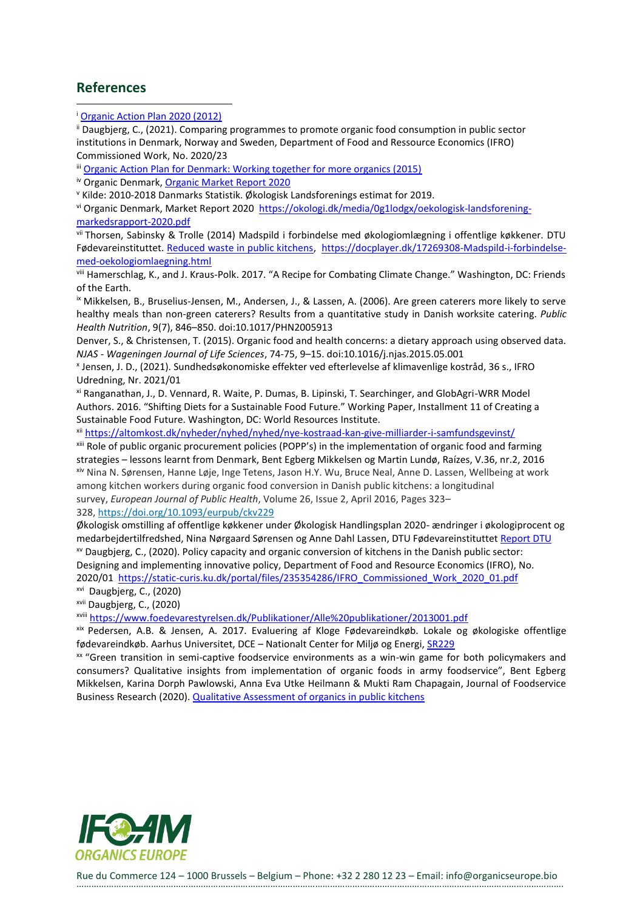### **References**

ii Daugbjerg, C., (2021). Comparing programmes to promote organic food consumption in public sector institutions in Denmark, Norway and Sweden, Department of Food and Ressource Economics (IFRO) Commissioned Work, No. 2020/23

iii [Organic Action Plan for Denmark: Working together for more organics \(2015\)](https://www.foedevarestyrelsen.dk/english/SiteCollectionDocuments/Kemi%20og%20foedevarekvalitet/Oekologiplan%20Danmark_English_Print.pdf)

iv Organic Denmark, [Organic Market Report 2020](https://okologi.dk/media/0g1lodgx/oekologisk-landsforening-markedsrapport-2020.pdf)

<sup>v</sup> Kilde: 2010-2018 Danmarks Statistik. Økologisk Landsforenings estimat for 2019.

vi Organic Denmark, Market Report 2020 [https://okologi.dk/media/0g1lodgx/oekologisk-landsforening](https://okologi.dk/media/0g1lodgx/oekologisk-landsforening-markedsrapport-2020.pdf)[markedsrapport-2020.pdf](https://okologi.dk/media/0g1lodgx/oekologisk-landsforening-markedsrapport-2020.pdf)

vii Thorsen, Sabinsky & Trolle (2014) Madspild i forbindelse med økologiomlægning i offentlige køkkener. DTU Fødevareinstituttet. [Reduced waste in public kitchens,](https://orbit.dtu.dk/en/publications/madspild-i-forbindelse-med-%C3%B8kologioml%C3%A6gning-i-offentlige-k%C3%B8kkener) [https://docplayer.dk/17269308-Madspild-i-forbindelse](https://docplayer.dk/17269308-Madspild-i-forbindelse-med-oekologiomlaegning.html)[med-oekologiomlaegning.html](https://docplayer.dk/17269308-Madspild-i-forbindelse-med-oekologiomlaegning.html)

viii Hamerschlag, K., and J. Kraus-Polk. 2017. "A Recipe for Combating Climate Change." Washington, DC: Friends of the Earth.

ix Mikkelsen, B., Bruselius-Jensen, M., Andersen, J., & Lassen, A. (2006). Are green caterers more likely to serve healthy meals than non-green caterers? Results from a quantitative study in Danish worksite catering. *Public Health Nutrition*, 9(7), 846–850. doi:10.1017/PHN2005913

Denver, S., & Christensen, T. (2015). Organic food and health concerns: a dietary approach using observed data. *NJAS - Wageningen Journal of Life Sciences*, 74-75, 9–15. doi:10.1016/j.njas.2015.05.001

x Jensen, J. D., (2021). Sundhedsøkonomiske effekter ved efterlevelse af klimavenlige kostråd, 36 s., IFRO Udredning, Nr. 2021/01

xi Ranganathan, J., D. Vennard, R. Waite, P. Dumas, B. Lipinski, T. Searchinger, and GlobAgri-WRR Model Authors. 2016. "Shifting Diets for a Sustainable Food Future." Working Paper, Installment 11 of Creating a Sustainable Food Future. Washington, DC: World Resources Institute.

xii <https://altomkost.dk/nyheder/nyhed/nyhed/nye-kostraad-kan-give-milliarder-i-samfundsgevinst/>

xiii Role of public organic procurement policies (POPP's) in the implementation of organic food and farming strategies – lessons learnt from Denmark, Bent Egberg Mikkelsen og Martin Lundø, Raízes, V.36, nr.2, 2016 xiv Nina N. Sørensen, Hanne Løje, Inge Tetens, Jason H.Y. Wu, Bruce Neal, Anne D. Lassen, Wellbeing at work among kitchen workers during organic food conversion in Danish public kitchens: a longitudinal survey, *European Journal of Public Health*, Volume 26, Issue 2, April 2016, Pages 323–

328, <https://doi.org/10.1093/eurpub/ckv229>

Økologisk omstilling af offentlige køkkener under Økologisk Handlingsplan 2020- ændringer i økologiprocent og medarbejdertilfredshed, Nina Nørgaard Sørensen og Anne Dahl Lassen, DTU Fødevareinstituttet [Report DTU](https://www.food.dtu.dk/-/media/Institutter/Foedevareinstituttet/Publikationer/Pub-2016/Rapport-Oekologisk-omstilling-af-offentlige-koekkener-under-Handlingsplan2020.ashx?la=da&hash=DA1A28F03E9B2EABD04F8B6B0E1F09D7B01EF4CF)  xv Daugbjerg, C., (2020). Policy capacity and organic conversion of kitchens in the Danish public sector: Designing and implementing innovative policy, Department of Food and Resource Economics (IFRO), No.

2020/01 [https://static-curis.ku.dk/portal/files/235354286/IFRO\\_Commissioned\\_Work\\_2020\\_01.pdf](https://static-curis.ku.dk/portal/files/235354286/IFRO_Commissioned_Work_2020_01.pdf) xvi Daugbjerg, C., (2020)

xvii Daugbjerg, C., (2020)

xviii <https://www.foedevarestyrelsen.dk/Publikationer/Alle%20publikationer/2013001.pdf>

xix Pedersen, A.B. & Jensen, A. 2017. Evaluering af Kloge Fødevareindkøb. Lokale og økologiske offentlige fødevareindkøb. Aarhus Universitet, DCE – Nationalt Center for Miljø og Energi[, SR229](http://dce2.au.dk/pub/SR229.pdf)

xx "Green transition in semi-captive foodservice environments as a win-win game for both policymakers and consumers? Qualitative insights from implementation of organic foods in army foodservice", Bent Egberg Mikkelsen, Karina Dorph Pawlowski, Anna Eva Utke Heilmann & Mukti Ram Chapagain, Journal of Foodservice Business Research (2020)[. Qualitative Assessment of organics in public kitchens](https://www.foedevarestyrelsen.dk/Publikationer/Alle%20publikationer/2013001.pdf)



<sup>i</sup> [Organic Action Plan 2020 \(2012\)](https://fvm.dk/fileadmin/user_upload/FVM.dk/Dokumenter/Landbrug/Indsatser/Oekologi/Oekologisk_Handlingsplan_2020.pdf)